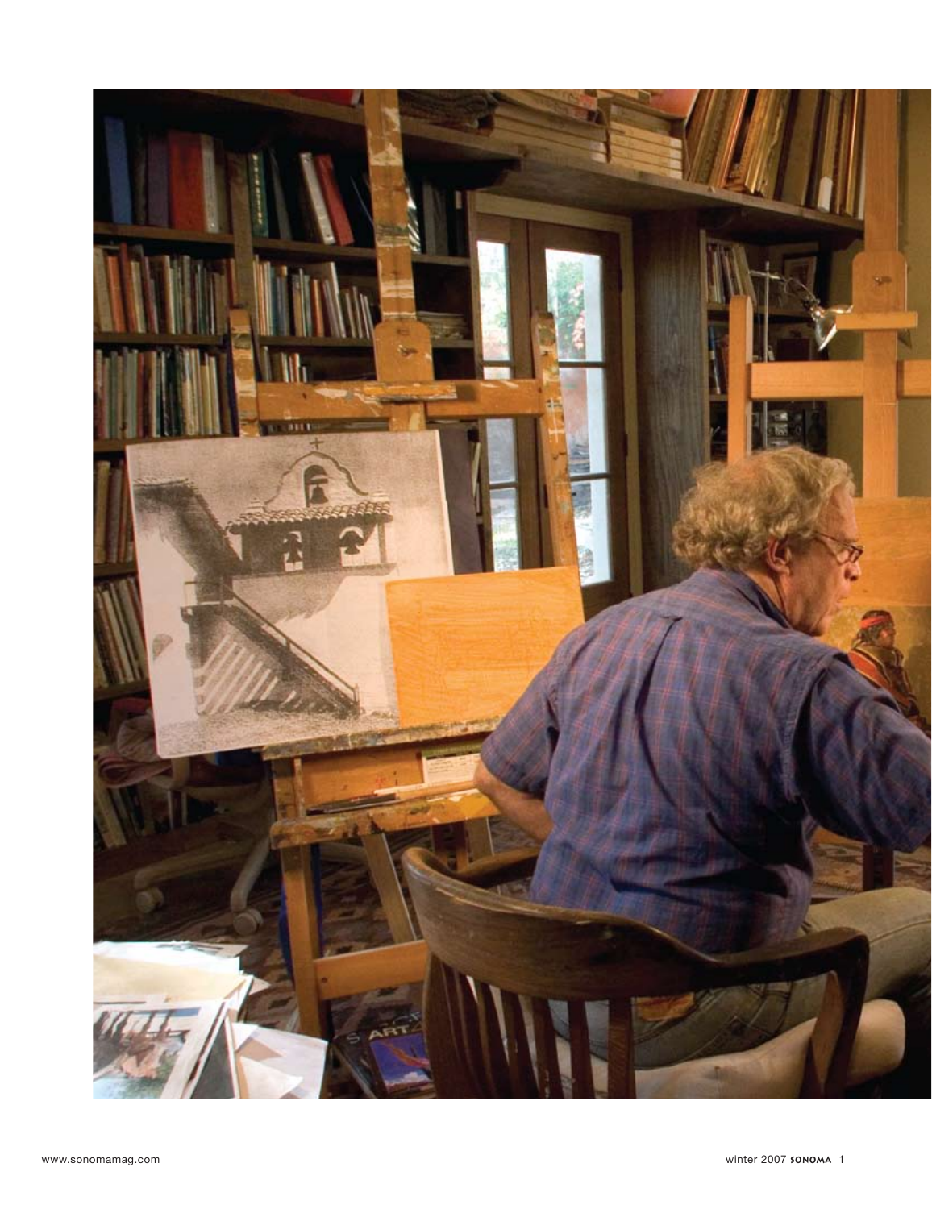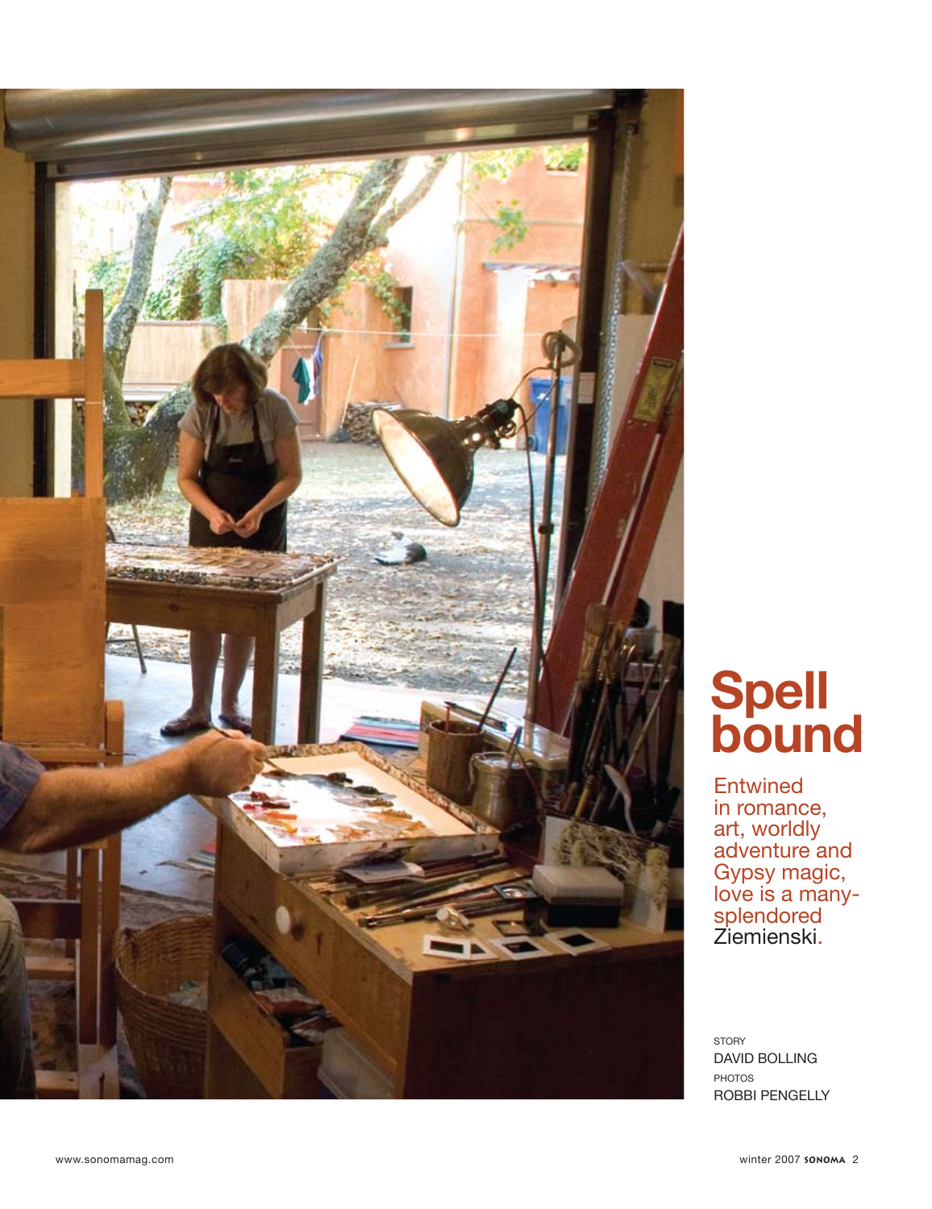

## **Spell bound**

Entwined in romance, art, worldly adventure and Gypsy magic, love is a manysplendored Ziemienski .

STORY DAVID B OLLING PHOTOS ROBBI PENGELLY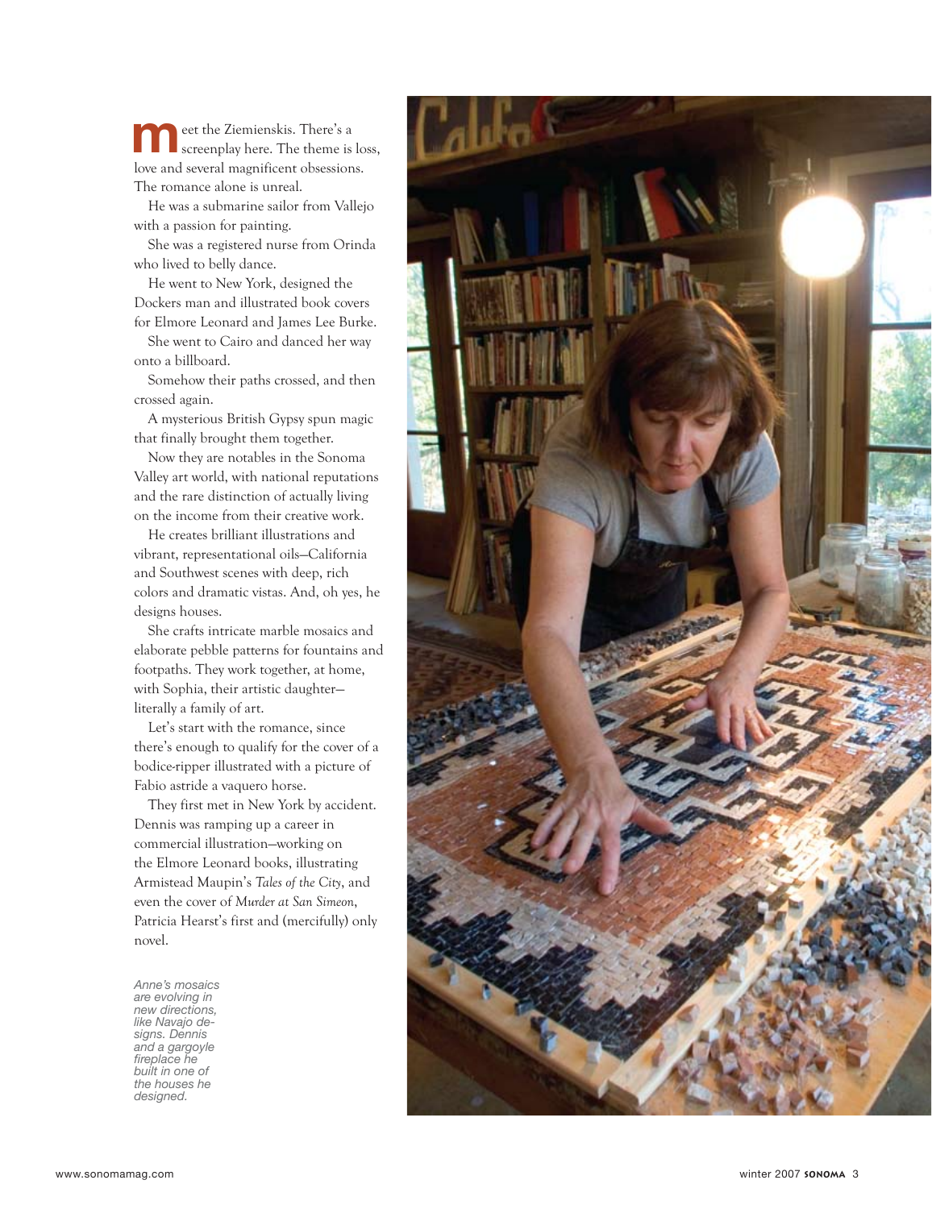eet the Ziemienskis. There's a screenplay here. The theme is loss, love and several magnificent obsessions. The romance alone is unreal.

He was a submarine sailor from Vallejo with a passion for painting.

She was a registered nurse from Orinda who lived to belly dance.

He went to New York, designed the Dockers man and illustrated book covers for Elmore Leonard and James Lee Burke.

She went to Cairo and danced her way onto a billboard.

Somehow their paths crossed, and then crossed again.

A mysterious British Gypsy spun magic that finally brought them together.

Now they are notables in the Sonoma Valley art world, with national reputations and the rare distinction of actually living on the income from their creative work.

He creates brilliant illustrations and vibrant, representational oils—California and Southwest scenes with deep, rich colors and dramatic vistas. And, oh yes, he designs houses.

She crafts intricate marble mosaics and elaborate pebble patterns for fountains and footpaths. They work together, at home, with Sophia, their artistic daughter literally a family of art.

Let's start with the romance, since there's enough to qualify for the cover of a bodice-ripper illustrated with a picture of Fabio astride a vaquero horse.

**nove and The rom**<br>The rom He was with a p<br>She who live He we Dockers<br>for Elme who a b<br>Some crossed A mystat final Now 1<br>and the independence of May that final Now 1<br>designs She culdors and Soul designs She culdorath Sop<br>l They first met in New York by accident. Dennis was ramping up a career in commercial illustration—working on the Elmore Leonard books, illustrating Armistead Maupin's *Tales of the City*, and even the cover of *Murder at San Simeon*, Patricia Hearst's first and (mercifully) only novel.

*Anne's mosaics are evolving in new directions, like Navajo de signs. Dennis and a gargoyle fireplace he built in one of the houses he designed.*

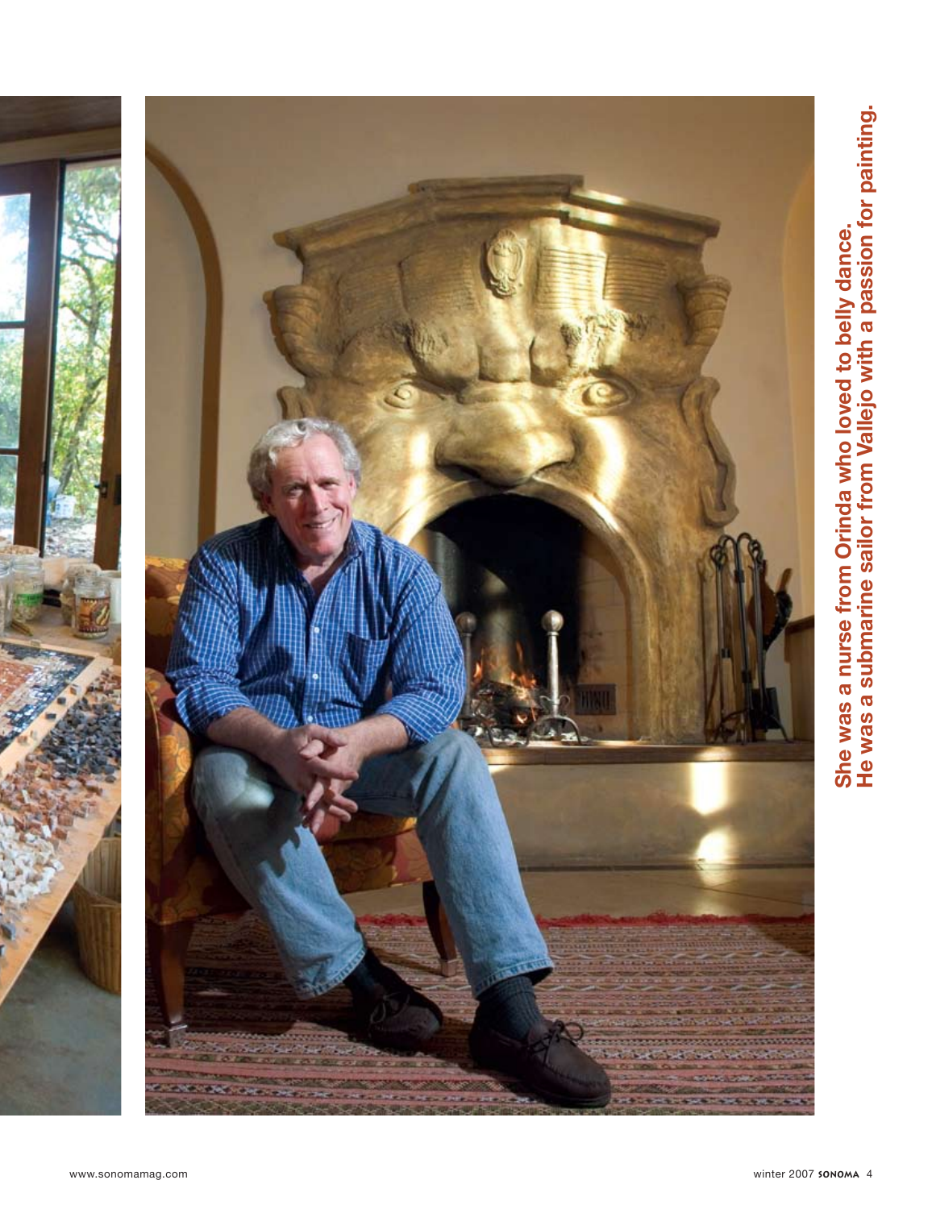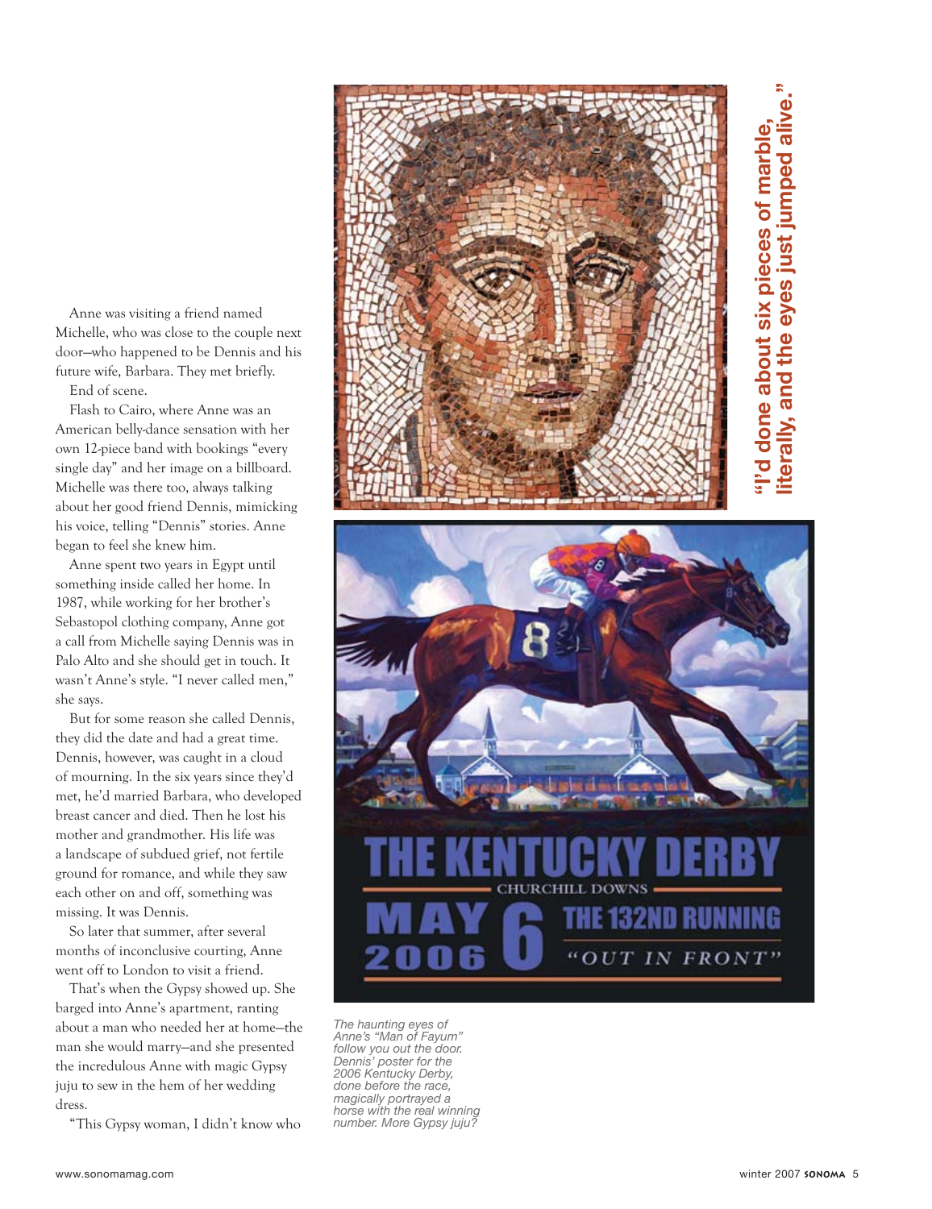Anne was visiting a friend named Michelle, who was close to the couple next door—who happened to be Dennis and his future wife, Barbara. They met briefly. End of scene.

Flash to Cairo, where Anne was an American belly-dance sensation with her own 12-piece band with bookings "every single day" and her image on a billboard. Michelle was there too, always talking about her good friend Dennis, mimicking his voice, telling "Dennis" stories. Anne began to feel she knew him.

Anne spent two years in Egypt until something inside called her home. In 1987, while working for her brother's Sebastopol clothing company, Anne got a call from Michelle saying Dennis was in Palo Alto and she should get in touch. It wasn't Anne's style. "I never called men," she says.

But for some reason she called Dennis, they did the date and had a great time. Dennis, however, was caught in a cloud of mourning. In the six years since they'd met, he'd married Barbara, who developed breast cancer and died. Then he lost his mother and grandmother. His life was a landscape of subdued grief, not fertile ground for romance, and while they saw each other on and off, something was missing. It was Dennis.

So later that summer, after several months of inconclusive courting, Anne went off to London to visit a friend.

That's when the Gypsy showed up. She barged into Anne's apartment, ranting about a man who needed her at home—the man she would marry—and she presented the incredulous Anne with magic Gypsy juju to sew in the hem of her wedding dress.

"This Gypsy woman, I didn't know who



*The haunting eyes of Anne's "Man of Fayum" follow you out the door. Dennis' poster for the 2006 Kentucky Derby, done before the race, magically portrayed a horse with the real winning number. More Gypsy juju?*

THE 132ND RUNNING

"OUT IN FRONT"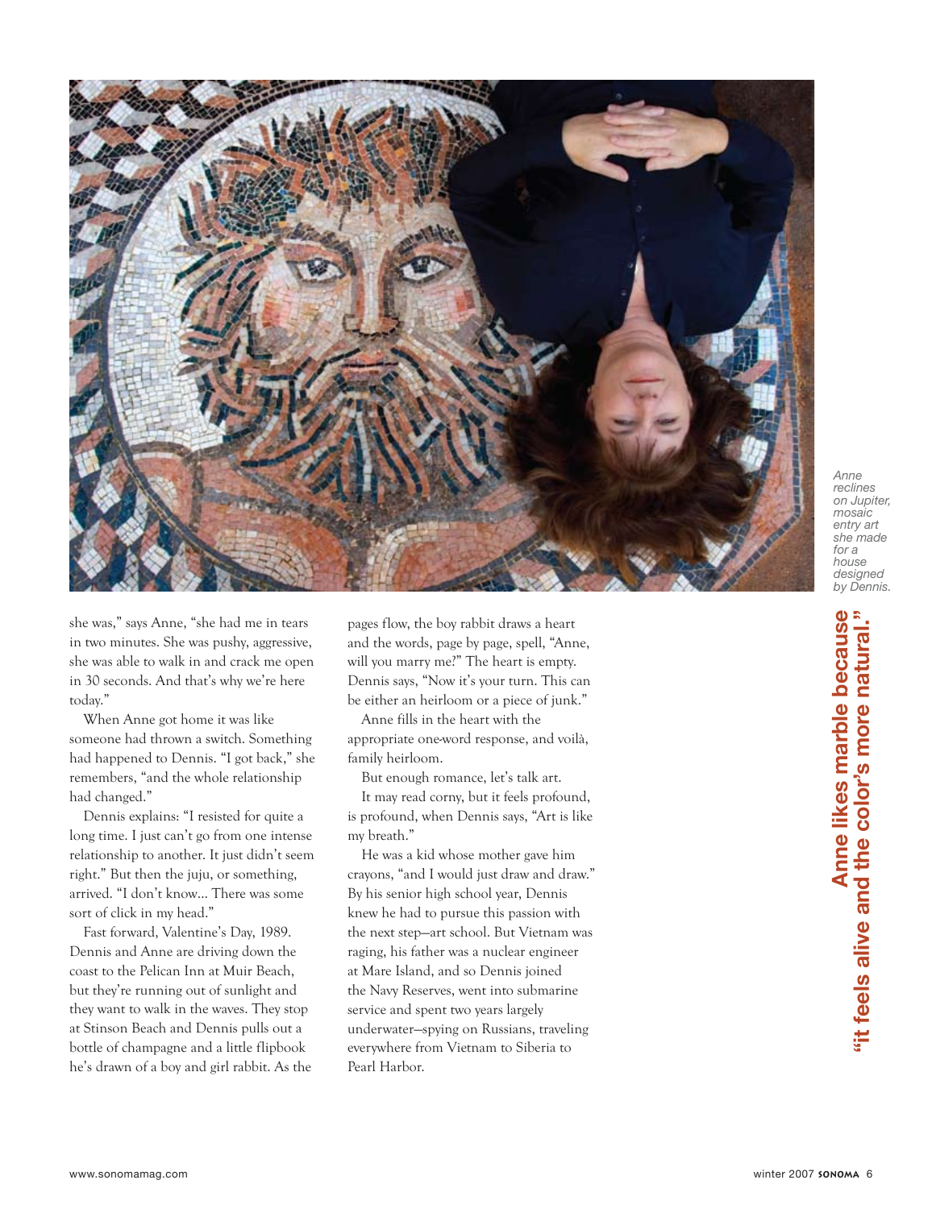

she was," says Anne, "she had me in tears in two minutes. She was pushy, aggressive, she was able to walk in and crack me open in 30 seconds. And that's why we're here today."

When Anne got home it was like someone had thrown a switch. Something had happened to Dennis. "I got back," she remembers, "and the whole relationship had changed."

Dennis explains: "I resisted for quite a long time. I just can't go from one intense relationship to another. It just didn't seem right." But then the juju, or something, arrived. "I don't know… There was some sort of click in my head."

Fast forward, Valentine's Day, 1989. Dennis and Anne are driving down the coast to the Pelican Inn at Muir Beach, but they're running out of sunlight and they want to walk in the waves. They stop at Stinson Beach and Dennis pulls out a bottle of champagne and a little flipbook he's drawn of a boy and girl rabbit. As the pages flow, the boy rabbit draws a heart and the words, page by page, spell, "Anne, will you marry me?" The heart is empty. Dennis says, "Now it's your turn. This can be either an heirloom or a piece of junk."

Anne fills in the heart with the appropriate one-word response, and voilà, family heirloom.

But enough romance, let's talk art. It may read corny, but it feels profound, is profound, when Dennis says, "Art is like

my breath." He was a kid whose mother gave him crayons, "and I would just draw and draw." By his senior high school year, Dennis knew he had to pursue this passion with the next step—art school. But Vietnam was raging, his father was a nuclear engineer at Mare Island, and so Dennis joined the Navy Reserves, went into submarine service and spent two years largely underwater—spying on Russians, traveling everywhere from Vietnam to Siberia to Pearl Harbor.

*Anne reclines on Jupiter, mosaic entry art she made for a house designed by Dennis.*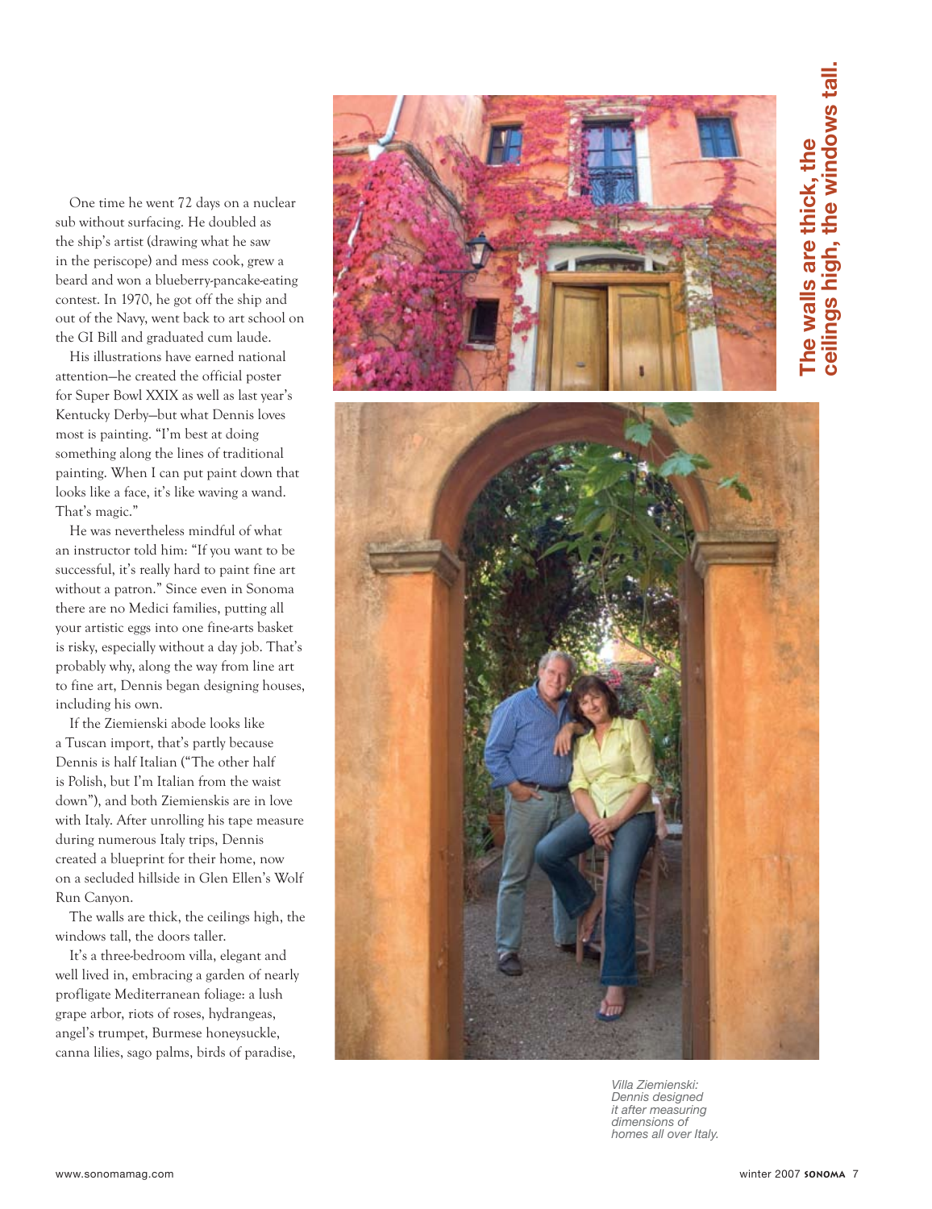One time he went 72 days on a nuclear sub without surfacing. He doubled as the ship's artist (drawing what he saw in the periscope) and mess cook, grew a beard and won a blueberry-pancake-eating contest. In 1970, he got off the ship and out of the Navy, went back to art school on the GI Bill and graduated cum laude.

His illustrations have earned national attention—he created the official poster for Super Bowl XXIX as well as last year's Kentucky Derby—but what Dennis loves most is painting. "I'm best at doing something along the lines of traditional painting. When I can put paint down that looks like a face, it's like waving a wand. That's magic."

He was nevertheless mindful of what an instructor told him: "If you want to be successful, it's really hard to paint fine art without a patron." Since even in Sonoma there are no Medici families, putting all your artistic eggs into one fine-arts basket is risky, especially without a day job. That's probably why, along the way from line art to fine art, Dennis began designing houses, including his own.

If the Ziemienski abode looks like a Tuscan import, that's partly because Dennis is half Italian ("The other half is Polish, but I'm Italian from the waist down"), and both Ziemienskis are in love with Italy. After unrolling his tape measure during numerous Italy trips, Dennis created a blueprint for their home, now on a secluded hillside in Glen Ellen's Wolf Run Canyon.

The walls are thick, the ceilings high, the windows tall, the doors taller.

It's a three-bedroom villa, elegant and well lived in, embracing a garden of nearly profligate Mediterranean foliage: a lush grape arbor, riots of roses, hydrangeas, angel's trumpet, Burmese honeysuckle, canna lilies, sago palms, birds of paradise,



*Villa Ziemienski: Dennis designed it after measuring dimensions of homes all over Italy.*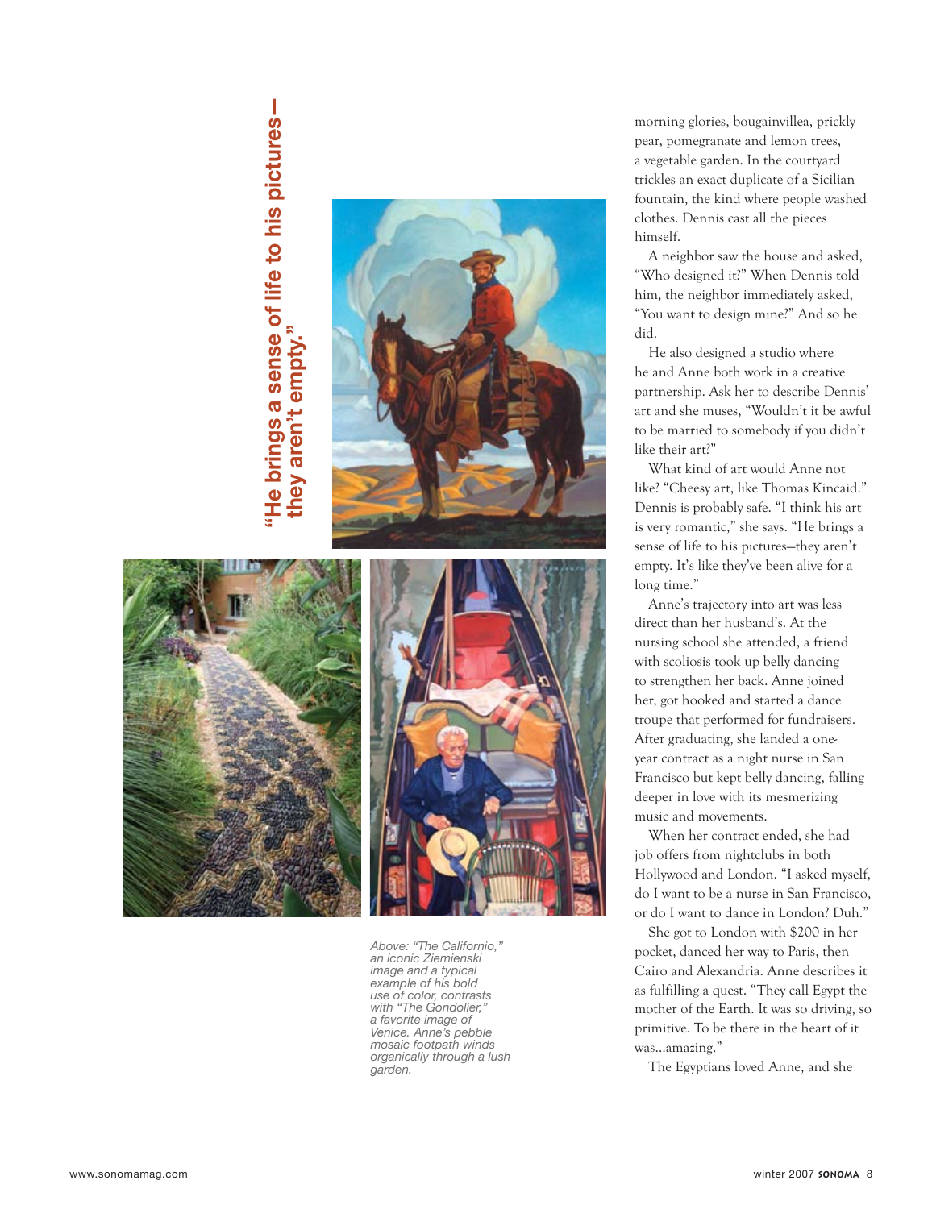## **"He brings a sense of life to his pictures—** "He brings a sense of life to his picturesthey aren't empty." **they aren't empty."**







*Above: "The Californio," an iconic Ziemienski image and a typical example of his bold use of color, contrasts with "The Gondolier," a favorite image of Venice. Anne's pebble mosaic footpath winds organically through a lush garden.*

morning glories, bougainvillea, prickly pear, pomegranate and lemon trees, a vegetable garden. In the courtyard trickles an exact duplicate of a Sicilian fountain, the kind where people washed clothes. Dennis cast all the pieces himself.

A neighbor saw the house and asked, "Who designed it?" When Dennis told him, the neighbor immediately asked, "You want to design mine?" And so he did.

He also designed a studio where he and Anne both work in a creative partnership. Ask her to describe Dennis' art and she muses, "Wouldn't it be awful to be married to somebody if you didn't like their art?"

What kind of art would Anne not like? "Cheesy art, like Thomas Kincaid." Dennis is probably safe. "I think his art is very romantic," she says. "He brings a sense of life to his pictures—they aren't empty. It's like they've been alive for a long time."

Anne's trajectory into art was less direct than her husband's. At the nursing school she attended, a friend with scoliosis took up belly dancing to strengthen her back. Anne joined her, got hooked and started a dance troupe that performed for fundraisers. After graduating, she landed a oneyear contract as a night nurse in San Francisco but kept belly dancing, falling deeper in love with its mesmerizing music and movements.

When her contract ended, she had job offers from nightclubs in both Hollywood and London. "I asked myself, do I want to be a nurse in San Francisco, or do I want to dance in London? Duh."

She got to London with \$200 in her pocket, danced her way to Paris, then Cairo and Alexandria. Anne describes it as fulfilling a quest. "They call Egypt the mother of the Earth. It was so driving, so primitive. To be there in the heart of it was…amazing."

The Egyptians loved Anne, and she